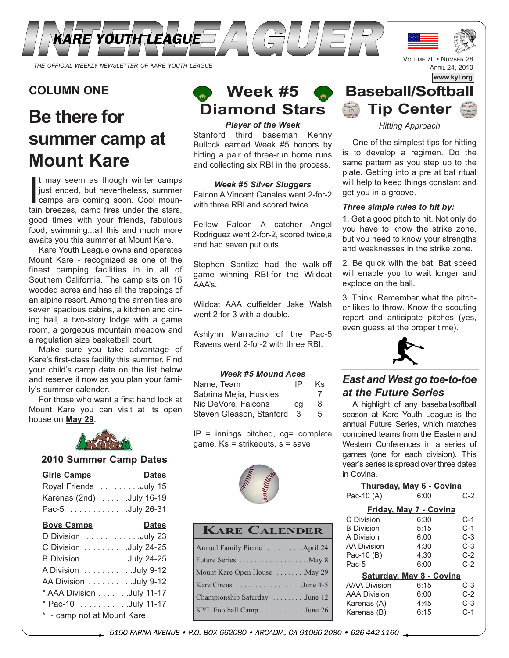

## **COLUMN ONE**

# **Be there for summer camp at Mount Kare**

It may seem as though winter camps<br>just ended, but nevertheless, summer<br>camps are coming soon. Cool moun-<br>tain breezes, camp fires under the stars t may seem as though winter camps just ended, but nevertheless, summer tain breezes, camp fires under the stars, good times with your friends, fabulous food, swimming...all this and much more awaits you this summer at Mount Kare.

Kare Youth League owns and operates Mount Kare - recognized as one of the finest camping facilities in in all of Southern California. The camp sits on 16 wooded acres and has all the trappings of an alpine resort. Among the amenities are seven spacious cabins, a kitchen and dining hall, a two-story lodge with a game room, a gorgeous mountain meadow and a regulation size basketball court.

Make sure you take advantage of Kare's first-class facility this summer. Find your child's camp date on the list below and reserve it now as you plan your family's summer calender.

For those who want a first hand look at Mount Kare you can visit at its open house on **May 29**.



#### **2010 Summer Camp Dates**

| <b>Girls Camps</b>       | <b>Dates</b> |
|--------------------------|--------------|
| Royal Friends July 15    |              |
| Karenas (2nd) July 16-19 |              |
| Pac-5 July 26-31         |              |
| <b>Boys Camps</b>        | <b>Dates</b> |
| D Division July 23       |              |
| C Division July 24-25    |              |

| C Division $\ldots \ldots \ldots$ July 24-25 |
|----------------------------------------------|
| B Division July 24-25                        |
| A Division July 9-12                         |
| AA Division July 9-12                        |
| * AAA Division July 11-17                    |
| * Pac-10 July 11-17                          |
| * - camp not at Mount Kare                   |



#### *Player of the Week*

Stanford third baseman Kenny Bullock earned Week #5 honors by hitting a pair of three-run home runs and collecting six RBI in the process.

#### *Week #5 Silver Sluggers*

Falcon A Vincent Canales went 2-for-2 with three RBI and scored twice.

Fellow Falcon A catcher Angel Rodriguez went 2-for-2, scored twice,a and had seven put outs.

Stephen Santizo had the walk-off game winning RBI for the Wildcat AAA's.

Wildcat AAA outfielder Jake Walsh went 2-for-3 with a double.

Ashlynn Marracino of the Pac-5 Ravens went 2-for-2 with three RBI.

#### *Week #5 Mound Aces*

| Name, Team               | IP | Κs |
|--------------------------|----|----|
| Sabrina Mejia, Huskies   |    |    |
| Nic DeVore, Falcons      | cq | 8  |
| Steven Gleason, Stanford | 3  | 5  |

 $IP =$  innings pitched,  $cgs =$  complete game, Ks = strikeouts, s = save



### **KARE CALENDER**

| Annual Family Picnic  April 24                   |
|--------------------------------------------------|
|                                                  |
| Mount Kare Open House  May 29                    |
| Kare Circus June 4-5                             |
| Championship Saturday June 12                    |
| KYL Football Camp $\ldots \ldots \ldots$ June 26 |
|                                                  |



VOLUME 70 • NUMBER 28 APRIL 24, 2010

*Hitting Approach*

One of the simplest tips for hitting is to develop a regimen. Do the same pattern as you step up to the plate. Getting into a pre at bat ritual will help to keep things constant and get you in a groove.

#### *Three simple rules to hit by:*

1. Get a good pitch to hit. Not only do you have to know the strike zone, but you need to know your strengths and weaknesses in the strike zone.

2. Be quick with the bat. Bat speed will enable you to wait longer and explode on the ball.

3. Think. Remember what the pitcher likes to throw. Know the scouting report and anticipate pitches (yes, even guess at the proper time).



## *East and West go toe-to-toe at the Future Series*

A highlight of any baseball/softball season at Kare Youth League is the annual Future Series, which matches combined teams from the Eastern and Western Conferences in a series of games (one for each division). This year's series is spread over three dates in Covina.

|                          | <b>Thursday, May 6 - Covina</b> |       |  |
|--------------------------|---------------------------------|-------|--|
| Pac-10 (A)               | 6:00                            | C-2   |  |
|                          | Friday, May 7 - Covina          |       |  |
| C Division               | 6:30                            | C-1   |  |
| <b>B</b> Division        | 5:15                            | $C-1$ |  |
| A Division               | 6:00                            | C-3   |  |
| <b>AA Division</b>       | 4:30                            | C-3   |  |
| Pac-10 (B)               | 4:30                            | $C-2$ |  |
| Pac-5                    | 6:00                            | $C-2$ |  |
| Saturday, May 8 - Covina |                                 |       |  |
| A/AA Division            | 6:15                            | C-3   |  |
| <b>AAA Division</b>      | 6:00                            | C-2   |  |
| Karenas (A)              | 4:45                            | $C-3$ |  |
| Karenas (B)              | 6:15                            | C-1   |  |

\_ 5150 FARNA AVENUE • P.O. BOX 662080 • ARCADIA, CA 91066-2080 • 626-442-1160 \_